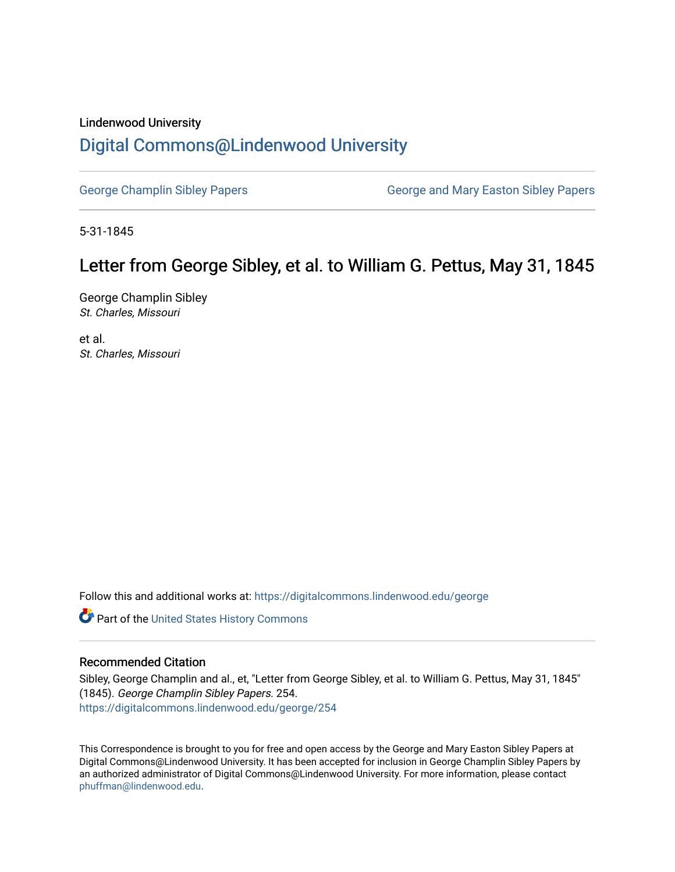## Lindenwood University

## [Digital Commons@Lindenwood University](https://digitalcommons.lindenwood.edu/)

[George Champlin Sibley Papers](https://digitalcommons.lindenwood.edu/george) George and Mary Easton Sibley Papers

5-31-1845

## Letter from George Sibley, et al. to William G. Pettus, May 31, 1845

George Champlin Sibley St. Charles, Missouri

et al. St. Charles, Missouri

Follow this and additional works at: [https://digitalcommons.lindenwood.edu/george](https://digitalcommons.lindenwood.edu/george?utm_source=digitalcommons.lindenwood.edu%2Fgeorge%2F254&utm_medium=PDF&utm_campaign=PDFCoverPages)

Part of the [United States History Commons](http://network.bepress.com/hgg/discipline/495?utm_source=digitalcommons.lindenwood.edu%2Fgeorge%2F254&utm_medium=PDF&utm_campaign=PDFCoverPages) 

## Recommended Citation

Sibley, George Champlin and al., et, "Letter from George Sibley, et al. to William G. Pettus, May 31, 1845" (1845). George Champlin Sibley Papers. 254. [https://digitalcommons.lindenwood.edu/george/254](https://digitalcommons.lindenwood.edu/george/254?utm_source=digitalcommons.lindenwood.edu%2Fgeorge%2F254&utm_medium=PDF&utm_campaign=PDFCoverPages)

This Correspondence is brought to you for free and open access by the George and Mary Easton Sibley Papers at Digital Commons@Lindenwood University. It has been accepted for inclusion in George Champlin Sibley Papers by an authorized administrator of Digital Commons@Lindenwood University. For more information, please contact [phuffman@lindenwood.edu](mailto:phuffman@lindenwood.edu).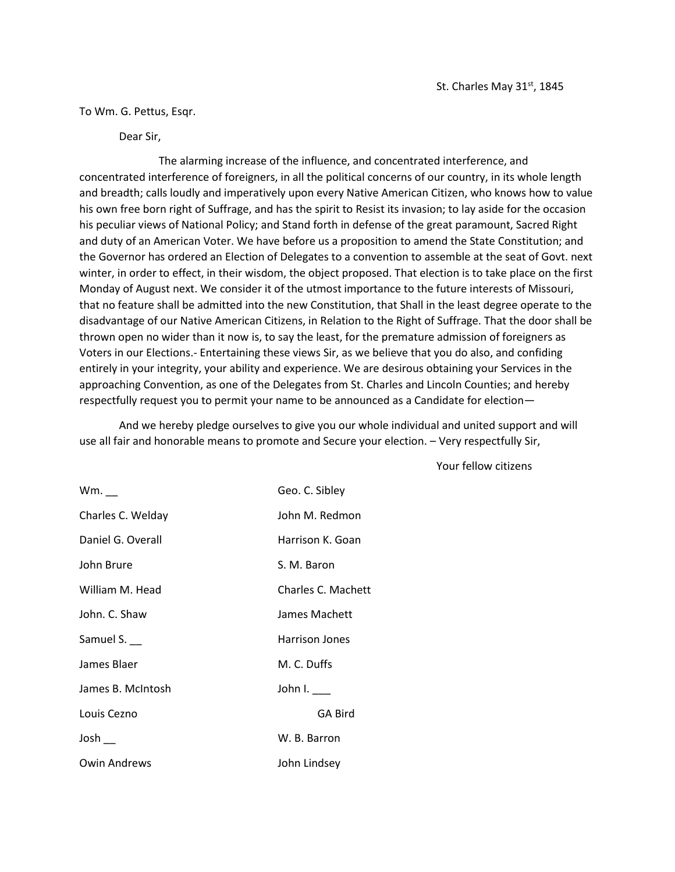To Wm. G. Pettus, Esqr.

Dear Sir,

The alarming increase of the influence, and concentrated interference, and concentrated interference of foreigners, in all the political concerns of our country, in its whole length and breadth; calls loudly and imperatively upon every Native American Citizen, who knows how to value his own free born right of Suffrage, and has the spirit to Resist its invasion; to lay aside for the occasion his peculiar views of National Policy; and Stand forth in defense of the great paramount, Sacred Right and duty of an American Voter. We have before us a proposition to amend the State Constitution; and the Governor has ordered an Election of Delegates to a convention to assemble at the seat of Govt. next winter, in order to effect, in their wisdom, the object proposed. That election is to take place on the first Monday of August next. We consider it of the utmost importance to the future interests of Missouri, that no feature shall be admitted into the new Constitution, that Shall in the least degree operate to the disadvantage of our Native American Citizens, in Relation to the Right of Suffrage. That the door shall be thrown open no wider than it now is, to say the least, for the premature admission of foreigners as Voters in our Elections.- Entertaining these views Sir, as we believe that you do also, and confiding entirely in your integrity, your ability and experience. We are desirous obtaining your Services in the approaching Convention, as one of the Delegates from St. Charles and Lincoln Counties; and hereby respectfully request you to permit your name to be announced as a Candidate for election—

And we hereby pledge ourselves to give you our whole individual and united support and will use all fair and honorable means to promote and Secure your election. – Very respectfully Sir,

| $Wm.$ $\_\_$      | Geo. C. Sibley        |
|-------------------|-----------------------|
| Charles C. Welday | John M. Redmon        |
| Daniel G. Overall | Harrison K. Goan      |
| John Brure        | S. M. Baron           |
| William M. Head   | Charles C. Machett    |
| John. C. Shaw     | James Machett         |
| Samuel S. $\_\_$  | <b>Harrison Jones</b> |
| James Blaer       | M. C. Duffs           |
| James B. McIntosh | John I. $\_\_$        |
| Louis Cezno       | <b>GA Bird</b>        |
| Josh              | W. B. Barron          |
| Owin Andrews      | John Lindsey          |

Your fellow citizens